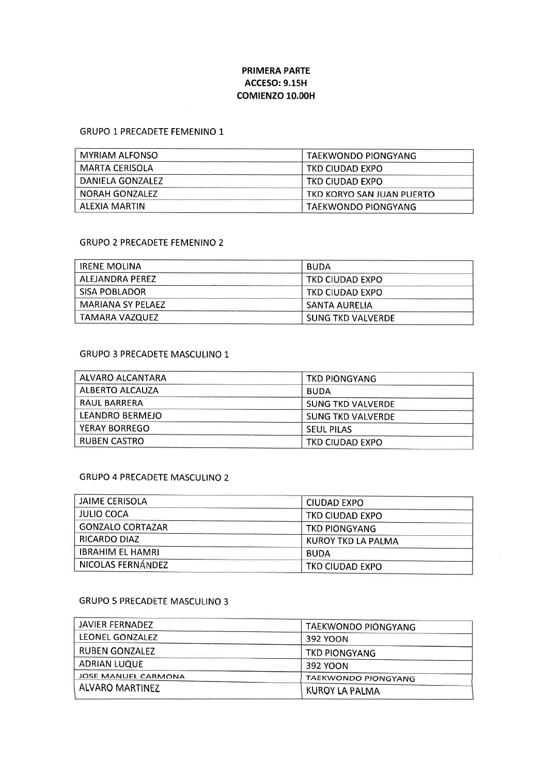# PRIMERA PARTE **ACCESO: 9.15H** coMtENzo 10.00H

### GRUPO 1 PRECADETE FEMENINO 1

| <b>MYRIAM ALFONSO</b> | TAEKWONDO PIONGYANG       |
|-----------------------|---------------------------|
| MARTA CERISOLA        | TKD CIUDAD EXPO           |
| DANIELA GONZALEZ      | TKD CIUDAD EXPO           |
| NORAH GONZALEZ        | TKD KORYO SAN JUAN PUERTO |
| ALEXIA MARTIN         | ∣ TAEKWONDO PIONGYANG     |

## GRUPO 2 PRECADETE FEMENINO 2

| <b>IRENE MOLINA</b> | <b>BUDA</b>              |  |
|---------------------|--------------------------|--|
| ALEJANDRA PFRFZ     | TKD CIUDAD EXPO          |  |
| I SISA POBLADOR.    | TKD CIUDAD EXPO          |  |
| MARIANA SY PELAEZ   | SANTA AURELIA            |  |
| TAMARA VAZQUEZ      | <b>SUNG TKD VALVERDE</b> |  |

### GRUPO 3 PRECADETE MASCULINO 1

| ALVARO ALCANTARA    | <b>TKD PIONGYANG</b>     |
|---------------------|--------------------------|
| ALBERTO ALCAUZA     | <b>BUDA</b>              |
| <b>RAUL BARRERA</b> | <b>SUNG TKD VALVERDE</b> |
| LEANDRO BERMEJO     | <b>SUNG TKD VALVERDE</b> |
| YERAY BORREGO       | <b>SEUL PILAS</b>        |
| RUBEN CASTRO        | TKD CIUDAD EXPO          |

#### GRUPO 4 PRECADETE MASCULINO 2

| JAIME CERISOLA          | CIUDAD EXPO        |  |
|-------------------------|--------------------|--|
| JULIO COCA              | TKD CIUDAD EXPO    |  |
| <b>GONZALO CORTAZAR</b> | TKD PIONGYANG      |  |
| RICARDO DIAZ            | KUROY TKD LA PALMA |  |
| <b>IBRAHIM EL HAMRI</b> | <b>BUDA</b>        |  |
| NICOLAS FERNÁNDEZ       | TKD CIUDAD EXPO    |  |

# GRUPO 5 PRECADETE MASCULINO 3

| JAVIER FERNADEZ        | <b>TAEKWONDO PIONGYANG</b> |
|------------------------|----------------------------|
| LEONEL GONZALEZ        | 392 YOON                   |
| RUBEN GONZALEZ         | TKD PIONGYANG              |
| <b>ADRIAN LUQUE</b>    | 392 YOON                   |
| JOSE MANUEL CARMONA    | TAEKWONDO PIONGYANG        |
| <b>ALVARO MARTINEZ</b> | <b>KUROY LA PALMA</b>      |